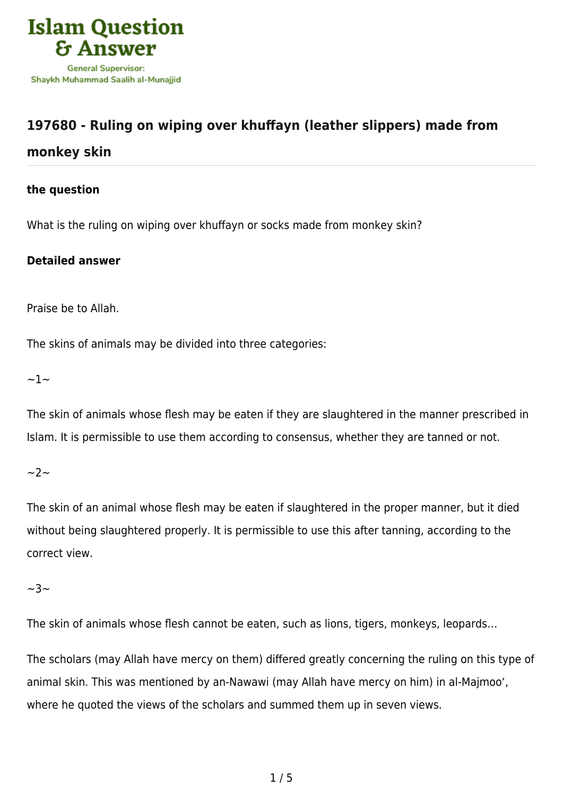

# **[197680 - Ruling on wiping over khuffayn \(leather slippers\) made from](https://islamqa.ws/en/answers/197680/ruling-on-wiping-over-khuffayn-leather-slippers-made-from-monkey-skin) [monkey skin](https://islamqa.ws/en/answers/197680/ruling-on-wiping-over-khuffayn-leather-slippers-made-from-monkey-skin)**

## **the question**

What is the ruling on wiping over khuffayn or socks made from monkey skin?

## **Detailed answer**

Praise be to Allah.

The skins of animals may be divided into three categories:

 $\sim$ 1 $\sim$ 

The skin of animals whose flesh may be eaten if they are slaughtered in the manner prescribed in Islam. It is permissible to use them according to consensus, whether they are tanned or not.

 $\sim$  2  $\sim$ 

The skin of an animal whose flesh may be eaten if slaughtered in the proper manner, but it died without being slaughtered properly. It is permissible to use this after tanning, according to the correct view.

 $~23~$ 

The skin of animals whose flesh cannot be eaten, such as lions, tigers, monkeys, leopards…

The scholars (may Allah have mercy on them) differed greatly concerning the ruling on this type of animal skin. This was mentioned by an-Nawawi (may Allah have mercy on him) in al-Majmoo', where he quoted the views of the scholars and summed them up in seven views.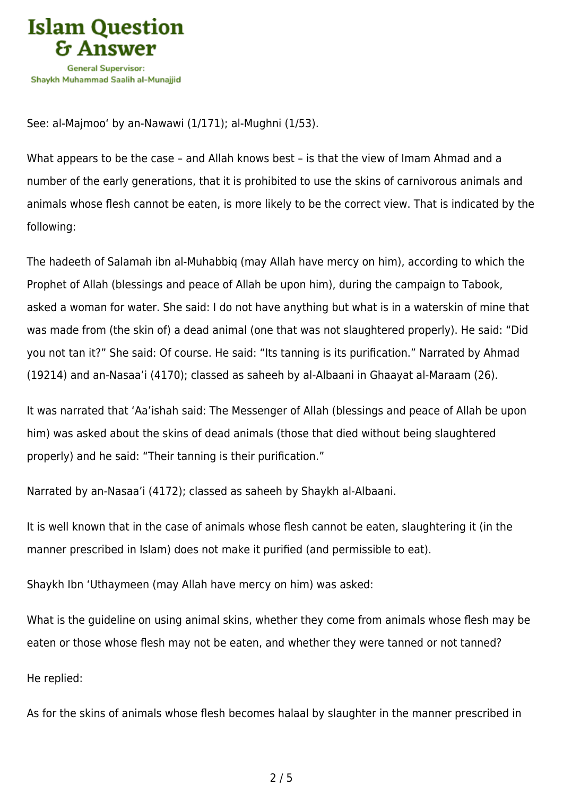

See: al-Majmoo' by an-Nawawi (1/171); al-Mughni (1/53).

What appears to be the case – and Allah knows best – is that the view of Imam Ahmad and a number of the early generations, that it is prohibited to use the skins of carnivorous animals and animals whose flesh cannot be eaten, is more likely to be the correct view. That is indicated by the following:

The hadeeth of Salamah ibn al-Muhabbiq (may Allah have mercy on him), according to which the Prophet of Allah (blessings and peace of Allah be upon him), during the campaign to Tabook, asked a woman for water. She said: I do not have anything but what is in a waterskin of mine that was made from (the skin of) a dead animal (one that was not slaughtered properly). He said: "Did you not tan it?" She said: Of course. He said: "Its tanning is its purification." Narrated by Ahmad (19214) and an-Nasaa'i (4170); classed as saheeh by al-Albaani in Ghaayat al-Maraam (26).

It was narrated that 'Aa'ishah said: The Messenger of Allah (blessings and peace of Allah be upon him) was asked about the skins of dead animals (those that died without being slaughtered properly) and he said: "Their tanning is their purification."

Narrated by an-Nasaa'i (4172); classed as saheeh by Shaykh al-Albaani.

It is well known that in the case of animals whose flesh cannot be eaten, slaughtering it (in the manner prescribed in Islam) does not make it purified (and permissible to eat).

Shaykh Ibn 'Uthaymeen (may Allah have mercy on him) was asked:

What is the guideline on using animal skins, whether they come from animals whose flesh may be eaten or those whose flesh may not be eaten, and whether they were tanned or not tanned?

He replied:

As for the skins of animals whose flesh becomes halaal by slaughter in the manner prescribed in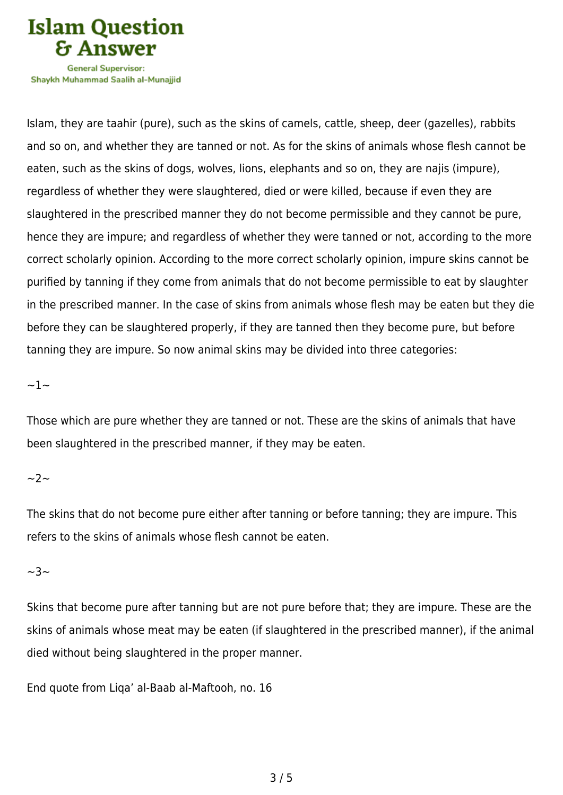

Shavkh Muhammad Saalih al-Munaiiid

Islam, they are taahir (pure), such as the skins of camels, cattle, sheep, deer (gazelles), rabbits and so on, and whether they are tanned or not. As for the skins of animals whose flesh cannot be eaten, such as the skins of dogs, wolves, lions, elephants and so on, they are najis (impure), regardless of whether they were slaughtered, died or were killed, because if even they are slaughtered in the prescribed manner they do not become permissible and they cannot be pure, hence they are impure; and regardless of whether they were tanned or not, according to the more correct scholarly opinion. According to the more correct scholarly opinion, impure skins cannot be purified by tanning if they come from animals that do not become permissible to eat by slaughter in the prescribed manner. In the case of skins from animals whose flesh may be eaten but they die before they can be slaughtered properly, if they are tanned then they become pure, but before tanning they are impure. So now animal skins may be divided into three categories:

#### $~1~$

Those which are pure whether they are tanned or not. These are the skins of animals that have been slaughtered in the prescribed manner, if they may be eaten.

### $\sim$ 2 $\sim$

The skins that do not become pure either after tanning or before tanning; they are impure. This refers to the skins of animals whose flesh cannot be eaten.

## $~1$ ~3

Skins that become pure after tanning but are not pure before that; they are impure. These are the skins of animals whose meat may be eaten (if slaughtered in the prescribed manner), if the animal died without being slaughtered in the proper manner.

End quote from Liqa' al-Baab al-Maftooh, no. 16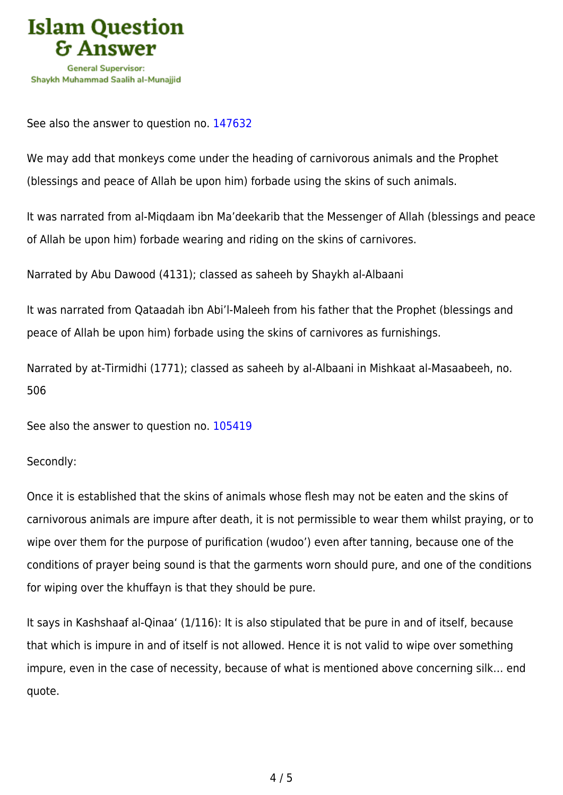

See also the answer to question no. [147632](https://islamqa.ws/en/answers/147632)

We may add that monkeys come under the heading of carnivorous animals and the Prophet (blessings and peace of Allah be upon him) forbade using the skins of such animals.

It was narrated from al-Miqdaam ibn Ma'deekarib that the Messenger of Allah (blessings and peace of Allah be upon him) forbade wearing and riding on the skins of carnivores.

Narrated by Abu Dawood (4131); classed as saheeh by Shaykh al-Albaani

It was narrated from Qataadah ibn Abi'l-Maleeh from his father that the Prophet (blessings and peace of Allah be upon him) forbade using the skins of carnivores as furnishings.

Narrated by at-Tirmidhi (1771); classed as saheeh by al-Albaani in Mishkaat al-Masaabeeh, no. 506

See also the answer to question no. [105419](https://islamqa.ws/en/answers/105419)

Secondly:

Once it is established that the skins of animals whose flesh may not be eaten and the skins of carnivorous animals are impure after death, it is not permissible to wear them whilst praying, or to wipe over them for the purpose of purification (wudoo') even after tanning, because one of the conditions of prayer being sound is that the garments worn should pure, and one of the conditions for wiping over the khuffayn is that they should be pure.

It says in Kashshaaf al-Qinaa' (1/116): It is also stipulated that be pure in and of itself, because that which is impure in and of itself is not allowed. Hence it is not valid to wipe over something impure, even in the case of necessity, because of what is mentioned above concerning silk… end quote.